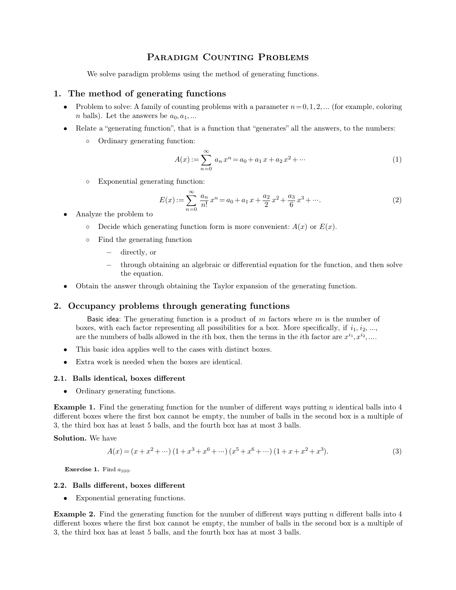# PARADIGM COUNTING PROBLEMS<br>
1 problems using the method of generating functions.

**PARADIGM COUNTING PROBLEMS**<br>We solve paradigm problems using the method of generating functions.<br>1. The method of generating functions

- **1.** The method of generating functions<br>**1.** The method of generating functions<br>**1.** Problem to solve: A family of counting problems with a<br> $\frac{1}{2}$  a halle). Let the approach a set of **Problem to solve: A family of counting functions<br>
• Problem to solve: A family of counting problems with a parameter**  $n = 0, 1, 2, \dots$  **(for example, coloring** *n* **balls). Let the answers be**  $a_0, a_1, \dots$ *<sup>n</sup>* balls). Let the answers be *<sup>a</sup>*0*; a*1*; :::* Relate a generating function, that is a function that generates all the answers, to the numbers: Ordinary generating function:
	- -

Ordinary generating function:

\n
$$
A(x) := \sum_{n=0}^{\infty} a_n x^n = a_0 + a_1 x + a_2 x^2 + \cdots
$$
\nExponential generating function:

\n
$$
A(x) := \sum_{n=0}^{\infty} a_n x^n = a_0 + a_1 x + a_2 x^2 + \cdots
$$
\n(1)

$$
E(x) := \sum_{n=0}^{\infty} \frac{a_n}{n!} x^n = a_0 + a_1 x + \frac{a_2}{2} x^2 + \frac{a_3}{6} x^3 + \cdots
$$
 (2)  
alyze the problem to  
o Decide which generating function form is more convenient: *A*(*x*) or *E*(*x*).  
Find the generating function  
– directly, or  
– through obtaining an algebraic or differential equation for the function, and then solve  
the equation.

- Exponential generating for<br> $E(x)$ :<br>• Analyze the problem to<br>○ Decide which generating
	-
	- -
- Find the generating function form is more convenient.  $A(x)$  or  $B(x)$ .<br>
o Find the generating function<br>  $-$  directly, or<br>  $-$  through obtaining an algebraic or differential equation for the function, and the equation.<br>
 O <sup>2</sup> Through obtaining an algebraic or differential equation for the equation.<br>
• Obtain the answer through obtaining the Taylor expansion of the generations<br> **2.** Occupancy problems through generating functions<br>
Basic idea
	-

the equation.<br>
Has in the answer through obtaining the Taylor expansion of the generating function.<br> **a product of** *m* factors where *m* is the number of<br>
es, with each factor representing all possibilities for a box. Mor Obtain the answer through obtaining the Taylor expansion of the generating function.<br> **CCUPANCY PTOblems through generating functions**<br>
Basic idea: The generating function is a product of m factors where m is the number o are the numbers of balls allowed in the *i*th box, then the terms in the *i*th factor are  $x^{i_1}, x^{i_2}, \ldots$ *i*<sub>1</sub>*, i*<sub>2</sub>*, ...,*<br>*<i>x*<sup>*i*2</sup>*, ...,*<br>*x*<sup>*i*2</sup>*, ...*. **Occupancy problems through generating functions**<br> **Example 18** Basic idea: The generating function is a product of m factors where m is the number of boxes, with each factor representing all possibilities for a box. More

- 
- **2.1. Balls identical, boxes different**<br> **2.1. Balls identical, boxes different**<br> **2.1. Balls identical, boxes different**<br> **2.1. Balls identical, boxes different**<br> **0.** Ordinary generating functions.

• Extra work is needed when the boxes are identical.<br> **2.1.** Balls identical, boxes different<br>
● Ordinary generating functions.<br> **Example 1.** Find the generating function for the number of different ways putting *n* ident **2.1.** Balls identical, boxes different<br>
• Ordinary generating functions.<br> **Example 1.** Find the generating function for the number of different ways putting *n* identical balls into 4<br>
different boxes where the first box • Ordinary generating functions.<br> **Example 1.** Find the generating function for the number of different ways putt<br>
different boxes where the first box cannot be empty, the number of balls in the 3,<br>
the third box has at le **Example 1.** Find the gendifferent boxes where the f<br>3, the third box has at leas<br>**Solution.** We have  $A(x) = (x - y)^2$ thing function for the number of different ways putting *n* is<br>
box cannot be empty, the number of balls in the second b<br>
balls, and the fourth box has at most 3 balls.<br>  $x^2 + \cdots (1 + x^3 + x^6 + \cdots) (x^5 + x^6 + \cdots) (1 + x + x^2 + x^3).$ 

$$
A(x) = (x + x2 + \cdots) (1 + x3 + x6 + \cdots) (x5 + x6 + \cdots) (1 + x + x2 + x3).
$$
 (3)  
**Exercise 1.** Find  $a_{100}$ .  
**2.2. Balls different, boxes different**  
• Exponential generating functions.

**Exercise 1.** Find  $a_{100}$ .

**2.2.** Balls different, boxes different<br>
• Exponential generating functions.<br> **Example 2.** Find the generating function for the number of different ways putting *n* different balls into 4 different boxes where the first b **2.2.** Balls different, boxes different<br>
• Exponential generating functions.<br> **Example 2.** Find the generating function for the number of different ways putting *n* different balls into 4<br>
different boxes where the first 3. **2. Balls different, boxes different**<br>
• Exponential generating functions.<br> **Example 2.** Find the generating function for the number of different ways putting *n* different balls into 4 different boxes where the first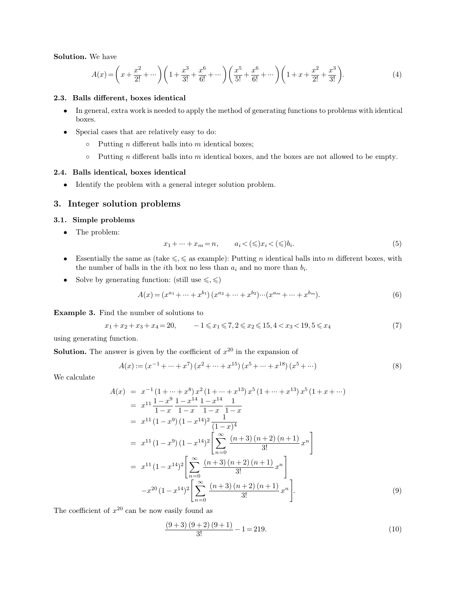**Solution.** We have

**Solution.** We have  
\n
$$
A(x) = \left(x + \frac{x^2}{2!} + \cdots\right) \left(1 + \frac{x^3}{3!} + \frac{x^6}{6!} + \cdots\right) \left(\frac{x^5}{5!} + \frac{x^6}{6!} + \cdots\right) \left(1 + x + \frac{x^2}{2!} + \frac{x^3}{3!}\right).
$$
\n**2.3. Balls different, boxes identical**\n• In general, extra work is needed to apply the method of generating functions to problems with identical boxes.

- boxes. **Special cases that are relatively easy to do:**  $\circ$  Putting *n* different balls into *m* identical boxes;  $\circ$  Putting *n* different balls into *m* identical boxes;  $\circ$  Putting *n* different balls into *m* identical box
- -
	-

• Special cases that are relatively easy to do:<br>
○ Putting *n* different balls into *m* identical boxes, and the bo<br> **2.4. Balls identical, boxes identical**<br>
● Identify the problem with a general integer solution proble 9. Putting *n* different balls into *m* id<br> **2.4.** Balls identical, boxes identical<br>
• Identify the problem with a general integ<br> **3.** Integer solution problems<br> **3.1.** Simple problems <ul>\n<li>• Identify the problem with a general integer solution problem.</li>\n<li>• <b>Integer solution problems</b></li>\n<li>• The problem:</li>\n<li>• The problem:</li>\n</ul>

$$
x_1 + \dots + x_m = n, \qquad a_i < (\leqslant) x_i < (\leqslant) b_i. \tag{5}
$$

- **Integer solution problems**<br>
 The problem:<br>
 The problem:<br>
 The problem:<br>
 Essentially the same as (take ≤, ≤ as example): Putting *n* identical balls into *m* different boxes, with<br>
the number of balls in the *i*th The problem:<br>  $x_1 + \cdots + x_m = n,$   $a_i < (\leqslant) x_i < (\leqslant) b_i.$ <br>
Essentially the same as (take  $\leqslant, \leqslant$  as example): Putting *n* identical balls into the number of balls in the *i*th box no less than  $a_i$  and no more than  $b_i$ the number of balls in the *i*th box no less than  $a_i$  and no more than  $b_i$ . Solve by generating function: (still use  $\leqslant$ ,  $\leqslant$  as example): Put<br>
the number of balls in the *i*th box no less than  $a_i$  as<br>
Solve by generating function: (still use  $\leqslant$ ,  $\leqslant$ )<br>  $A(x) = (x^{a_1} + ... + x^{b_1})(x^{a_2$
- Solve by generating function: (still use  $\leq, \leq$ )<br> $A(x) = (x^{a_1} + \dots + x^{b_1}) (x^{a_1})$ <br>**Example 3.** Find the number of solutions to

$$
A(x) = (x^{a_1} + \dots + x^{b_1})(x^{a_2} + \dots + x^{b_2})\dots (x^{a_m} + \dots + x^{b_m}).
$$
  
\nFind the number of solutions to  
\n
$$
x_1 + x_2 + x_3 + x_4 = 20, \qquad -1 \le x_1 \le 7, 2 \le x_2 \le 15, 4 < x_3 < 19, 5 \le x_4
$$
\n(7)  
\ng function.

**Example 3.** Find the number<br> $x_1 + x_2 + x_3 + x_4$ <br>using generating function.<br>**Solution.** The answer is given

**Example 3.** Find the number of solutions to  
\n
$$
x_1 + x_2 + x_3 + x_4 = 20
$$
,  $-1 \le x_1 \le 7, 2 \le x_2 \le 15, 4 < x_3 < 19, 5 \le x_4$  (7)  
\nusing generating function.  
\n**Solution.** The answer is given by the coefficient of  $x^{20}$  in the expansion of  
\n
$$
A(x) := (x^{-1} + \dots + x^7) (x^2 + \dots + x^{15}) (x^5 + \dots + x^{18}) (x^5 + \dots)
$$
 (8)

using generating fun<br> **Solution.** The answ<br>
We calculate

$$
A(x) := (x^{-1} + \dots + x^7) (x^2 + \dots + x^{15}) (x^5 + \dots + x^{18}) (x^5 + \dots)
$$
\n(8)

Solution. The answer is given by the coefficient of 
$$
x^{20}
$$
 in the expansion of  
\n
$$
A(x) := (x^{-1} + \dots + x^7) (x^2 + \dots + x^{15}) (x^5 + \dots + x^{18}) (x^5 + \dots)
$$
\nWe calculate\n
$$
A(x) = x^{-1} (1 + \dots + x^8) x^2 (1 + \dots + x^{13}) x^5 (1 + \dots + x^{13}) x^5 (1 + x + \dots)
$$
\n
$$
= x^{11} \frac{1 - x^9}{1 - x} \frac{1 - x^{14}}{1 - x} \frac{1}{1 - x} \frac{1}{1 - x}
$$
\n
$$
= x^{11} (1 - x^9) (1 - x^{14})^2 \left[ \sum_{n=0}^{\infty} \frac{(n+3)(n+2)(n+1)}{3!} x^n \right]
$$
\n
$$
= x^{11} (1 - x^{14})^2 \left[ \sum_{n=0}^{\infty} \frac{(n+3)(n+2)(n+1)}{3!} x^n \right]
$$
\n
$$
-x^{20} (1 - x^{14})^2 \left[ \sum_{n=0}^{\infty} \frac{(n+3)(n+2)(n+1)}{3!} x^n \right].
$$
\n(9)  
\nThe coefficient of  $x^{20}$  can be now easily found as  
\n
$$
\frac{(9+3)(9+2)(9+1)}{3!} - 1 = 219.
$$
\n(10)

$$
\frac{(9+3)(9+2)(9+1)}{3!} - 1 = 219.
$$
\n(10)